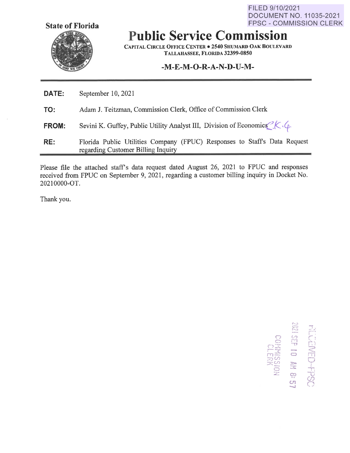**State of Florida** 

FILED 9/10/2021 DOCUMENT NO. 11035-2021 FPSC - COMMISSION CLERK

 $\frac{1}{2}$   $\frac{1}{2}$   $\frac{1}{2}$   $\frac{1}{2}$   $\frac{1}{2}$ 

 $\Xi^{\rm eff}$  by  $\frac{1}{2}$  =  $\frac{1}{2}$ ::=) (/") <sup>0</sup>*A~* **::z,..** <sup>I</sup>

**HPSC**<br> **H**<br> **6: 21**<br> **(ON** 

# **Public Service Commission**

**CAPITAL CIRCLE OFFICE CENTER**  $\bullet$  **2540 SHUMARD OAK BOULEVARD TALLAHASSEE, FLORIDA 32399-0850** 

## **-M-E-M-O-R-A-N-D-U-M-**

| DATE:        | September 10, 2021                                                                                              |  |  |  |  |  |
|--------------|-----------------------------------------------------------------------------------------------------------------|--|--|--|--|--|
| TO:          | Adam J. Teitzman, Commission Clerk, Office of Commission Clerk                                                  |  |  |  |  |  |
| <b>FROM:</b> | Sevini K. Guffey, Public Utility Analyst III, Division of Economics $^2K \cdot \mathcal{L}$ .                   |  |  |  |  |  |
| RE:          | Florida Public Utilities Company (FPUC) Responses to Staff's Data Request<br>regarding Customer Billing Inquiry |  |  |  |  |  |

Please file the attached staff's data request dated August 26, 2021 to FPUC and responses received from FPUC on September 9, 2021, regarding a customer billing inquiry in Docket No. 20210000-0T.

Thank you.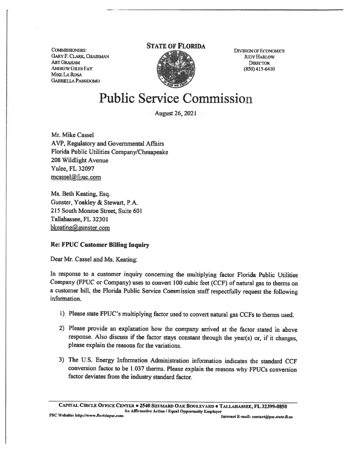CoMMJSSIONERS: GARY F. CLARK, CHAIRMAN ARTGRAHAM ANDREW GILES FAY MIKE LA ROSA GABRIEUAPASSIDOMO

### **STATE OF FLORIDA**



DIVIsION OF EcONOMICS JUDY HARLOW **DIRECTOR**  $(850)$  413-6410

## Public Service Commission

August 26, 2021

Mr. Mike Cassel A VP, Regulatory and Governmental Affairs Florida Public Utilities Company/Chesapeake 208 Wildlight Avenue Yulee, FL 32097 mcassel@fpuc.com

Ms. Beth Keating, Esq. Gunster, Yoakley & Stewart. P.A. 215 South Monroe Street, Suite 601 Tallahassee, FL 32301 bkeating@gunster.com

#### **Re: FPUC Customer Billing Inquiry**

Dear Mr. Cassel and Ms. Keating:

In response to a customer inquiry concerning the multiplying factor Florida Public Utilities Company (FPUC or Company) uses to convert 100 cubic feet (CCF) of natural gas to therms on a customer bill, the Florida Public Service Commission staff respectfully request the following information.

- l) Please state FPUC's multiplying factor used to convert natural gas CCFs to therms used.
- 2) Please provide an explanation how the company arrived at the factor stated in above response. Also discuss if the factor stays constant through the year(s) or, if it changes, please explain the reasons for the variations.
- 3) The U.S. Energy Information Administration information indicates the standard CCF conversion factor to be 1.037 therms. Please explain the reasons why FPUCs conversion factor deviates from the industry standard factor.

**CAPITAL CIRCLE OFFIC1': CENTER** • **2540 SHUMARD OAK BOULEVARD** • **T AU.AllASSEE, FL 32399-0850 An Affirmative Action** / **Equal Opportunity 1':mployer**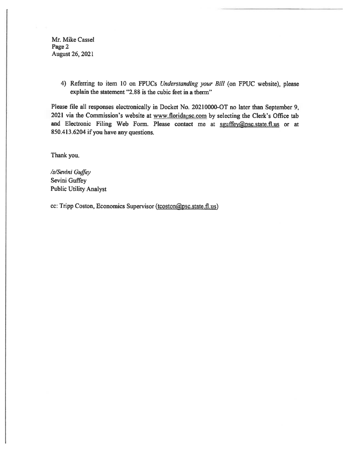Mr. Mike Cassel Page 2 August 26, 2021

> 4) Referring to item 10 on FPUCs *Understanding your Bill* (on FPUC website). please explain the statement "2.88 is the cubic feet in a therm"

Please file all responses electronically in Docket No. 20210000-OT no later than September 9, 2021 via the Commission's website at www.floridapsc.com by selecting the Clerk's Office tab and Electronic Filing Web Form. Please contact me at sguffey@psc.state.fl.us or at 850.413.6204 if you have any questions.

Thank you.

*/s/Sevini Guffey*  Sevini Guffey Public Utility Analyst

cc: Tripp Coston, Economics Supervisor (tcoston@psc.state.fl.us)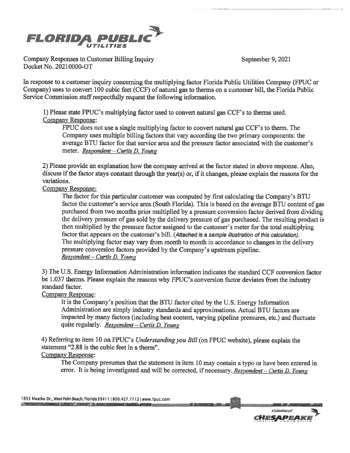September 9, 2021

------

-------------



Company Responses to Customer Billing Inquiry Docket No. 20210000-OT

In response to a customer inquiry concerning the multiplying factor Florida Public Utilities Company (FPUC or Company) uses to convert 100 cubic feet (CCF) of natural gas to therms on a customer bill, the Florida Public Service Commission staff respectfully request the following information.

1) Please state FPUC's multiplying factor used to convert natural gas CCF's to therms used. Company Response:

FPUC does not use a single multiplying factor to convert natural gas CCF's to therm. The Company uses multiple billing factors that vary according the two primary components: the average BTU factor for that service area and the pressure factor associated with the customer's meter. *Respondent* - *Curtis D. Young* 

2) Please provide an explanation how the company arrived at the factor stated in above response. Also, discuss if the factor stays constant through the year(s) or, if it changes, please explain the reasons for the variations.

### Company Response:

The factor for this particular customer was computed by first calculating the Company's BTU factor the customer's service area (South Florida). This is based on the average BTU content of gas purchased from two months prior multiplied by a pressure conversion factor derived from dividing the delivery pressure of gas sold by the delivery pressure of gas purchased. The resulting product is then multiplied by the pressure factor assigned to the customer's meter for the total multiplying factor that appears on the customer's bill. (Attached is a sample Illustration of this calculation). The multiplying factor may vary from month to month in accordance to changes in the delivery pressure conversion factors provided by the Company's upstream pipeline. *Respondent* - *Curtis D. Young* 

3) The U.S. Energy Information Administration information indicates the standard CCF conversion factor be 1,037 therms. Please explain the reasons why FPUC's conversion factor deviates from the industry standard factor.

#### Company Response:

It is the Company's position that the BTU factor cited by the U.S. Energy Information Administration are simply industry standards and approximations. Actual BTU factors are impacted by many factors (including heat content, varying pipeline pressures, etc.) and fluctuate quite regularly. *Respondent-Curtis D. Young* 

4) Referring to item 10 on FPUC's *Understanding you Bill* (on FPUC website), please explain the statement "2.88 is the cubic feet in a therm". Company Response:

The Company presumes that the statement in item 10 may contain a typo or have been entered in error. It is being investigated and will be corrected, if necessary. *Respondent* - *Curtis D. Young* 

 $t(5)$ 

1635 Meathe Dr,, West Palm **Beach,** FlorldaB411 1800.427.77121 www.fpuc.com